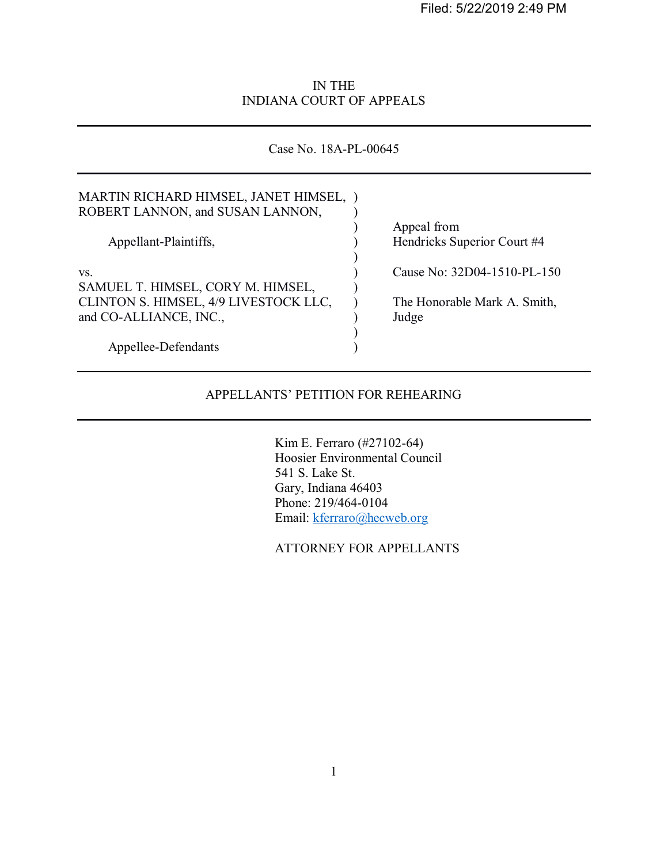Filed: 5/22/2019 2:49 PM

# IN THE INDIANA COURT OF APPEALS

Case No. 18A-PL-00645

| MARTIN RICHARD HIMSEL, JANET HIMSEL, )<br>ROBERT LANNON, and SUSAN LANNON, |                              |
|----------------------------------------------------------------------------|------------------------------|
|                                                                            | Appeal from                  |
| Appellant-Plaintiffs,                                                      | Hendricks Superior Court #4  |
|                                                                            |                              |
| VS.                                                                        | Cause No: 32D04-1510-PL-150  |
| SAMUEL T. HIMSEL, CORY M. HIMSEL,                                          |                              |
| CLINTON S. HIMSEL, 4/9 LIVESTOCK LLC,                                      | The Honorable Mark A. Smith, |
| and CO-ALLIANCE, INC.,                                                     | Judge                        |
|                                                                            |                              |
| Appellee-Defendants                                                        |                              |

# APPELLANTS' PETITION FOR REHEARING

 Kim E. Ferraro (#27102-64) Hoosier Environmental Council 541 S. Lake St. Gary, Indiana 46403 Phone: 219/464-0104 Email: kferraro@hecweb.org

ATTORNEY FOR APPELLANTS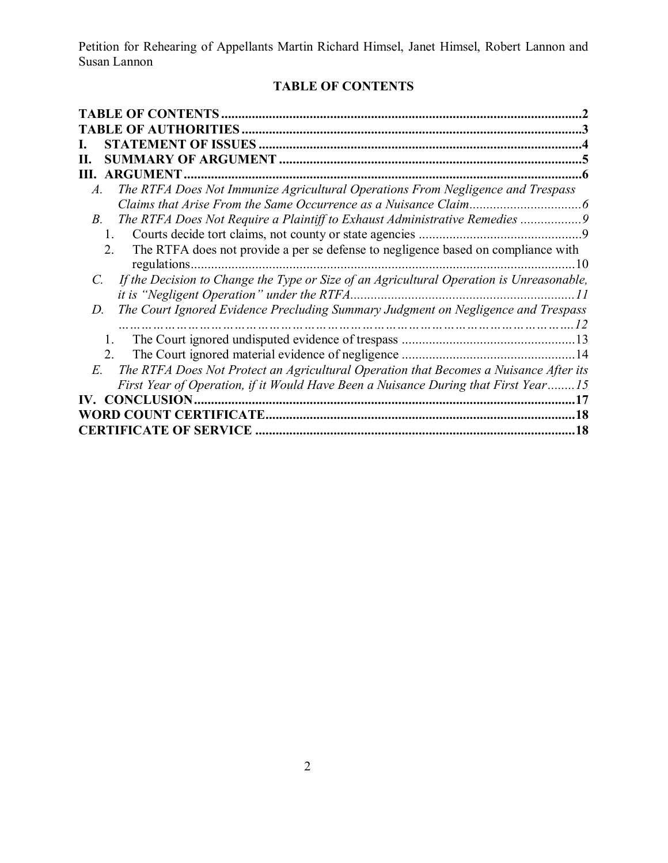# **TABLE OF CONTENTS**

| <b>TABLE OF CONTENTS</b>                                                                                                                           |  |
|----------------------------------------------------------------------------------------------------------------------------------------------------|--|
| TABLE OF AUTHORITIES                                                                                                                               |  |
| <b>STATEMENT OF ISSUES</b>                                                                                                                         |  |
| Н.                                                                                                                                                 |  |
| <b>ARGUMENT</b><br>Ш.                                                                                                                              |  |
| The RTFA Does Not Immunize Agricultural Operations From Negligence and Trespass<br>A.                                                              |  |
|                                                                                                                                                    |  |
| The RTFA Does Not Require a Plaintiff to Exhaust Administrative Remedies<br>В.                                                                     |  |
| 1.                                                                                                                                                 |  |
| The RTFA does not provide a per se defense to negligence based on compliance with<br>2.<br>regulations.<br>10                                      |  |
| If the Decision to Change the Type or Size of an Agricultural Operation is Unreasonable,<br>C.<br>it is "Negligent Operation" under the RTFA<br>11 |  |
| The Court Ignored Evidence Precluding Summary Judgment on Negligence and Trespass<br>D.<br>                                                        |  |
| 1                                                                                                                                                  |  |
| 2.                                                                                                                                                 |  |
| The RTFA Does Not Protect an Agricultural Operation that Becomes a Nuisance After its<br>E.                                                        |  |
| First Year of Operation, if it Would Have Been a Nuisance During that First Year15                                                                 |  |
| IV. CONCLUSION.                                                                                                                                    |  |
| 18                                                                                                                                                 |  |
| <b>CERTIFICATE OF SERVICE</b><br>18                                                                                                                |  |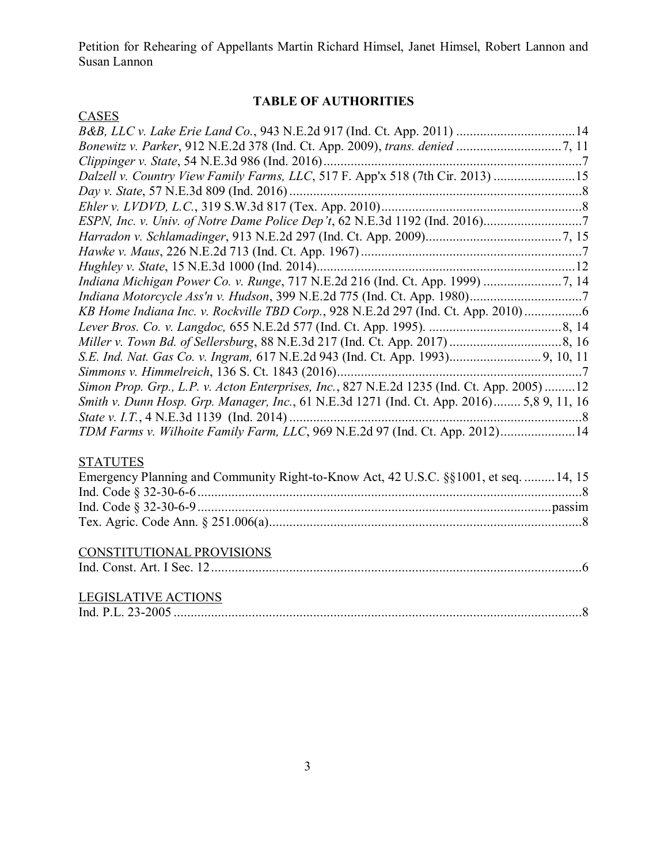# **TABLE OF AUTHORITIES**

| <b>CASES</b>                                                                               |
|--------------------------------------------------------------------------------------------|
| B&B, LLC v. Lake Erie Land Co., 943 N.E.2d 917 (Ind. Ct. App. 2011) 14                     |
|                                                                                            |
|                                                                                            |
| Dalzell v. Country View Family Farms, LLC, 517 F. App'x 518 (7th Cir. 2013) 15             |
|                                                                                            |
|                                                                                            |
|                                                                                            |
|                                                                                            |
|                                                                                            |
|                                                                                            |
|                                                                                            |
|                                                                                            |
| KB Home Indiana Inc. v. Rockville TBD Corp., 928 N.E.2d 297 (Ind. Ct. App. 2010)           |
|                                                                                            |
|                                                                                            |
|                                                                                            |
|                                                                                            |
| Simon Prop. Grp., L.P. v. Acton Enterprises, Inc., 827 N.E.2d 1235 (Ind. Ct. App. 2005) 12 |
| Smith v. Dunn Hosp. Grp. Manager, Inc., 61 N.E.3d 1271 (Ind. Ct. App. 2016) 5,8 9, 11, 16  |
|                                                                                            |
| TDM Farms v. Wilhoite Family Farm, LLC, 969 N.E.2d 97 (Ind. Ct. App. 2012)14               |
|                                                                                            |
| <b>STATUTES</b>                                                                            |
| Emergency Planning and Community Right-to-Know Act, 42 U.S.C. §§1001, et seq.  14, 15      |
|                                                                                            |
|                                                                                            |
|                                                                                            |
|                                                                                            |
| CONSTITUTIONAL PROVISIONS                                                                  |
|                                                                                            |
|                                                                                            |
| <b>LEGISLATIVE ACTIONS</b>                                                                 |
|                                                                                            |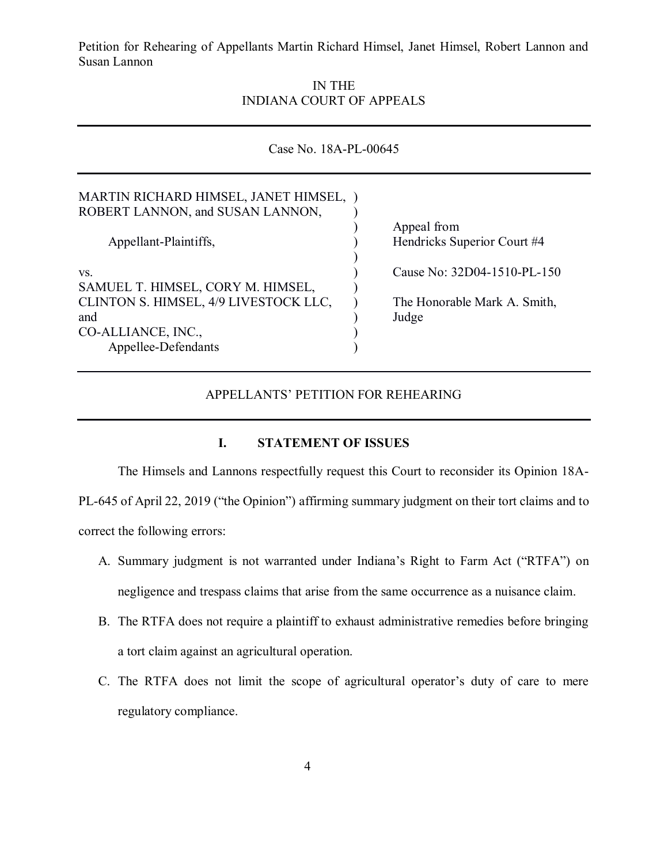> IN THE INDIANA COURT OF APPEALS

| Case No. 18A-PL-00645                                                      |                              |  |
|----------------------------------------------------------------------------|------------------------------|--|
| MARTIN RICHARD HIMSEL, JANET HIMSEL, )<br>ROBERT LANNON, and SUSAN LANNON, |                              |  |
|                                                                            | Appeal from                  |  |
| Appellant-Plaintiffs,                                                      | Hendricks Superior Court #4  |  |
| VS.<br>SAMUEL T. HIMSEL, CORY M. HIMSEL,                                   | Cause No: 32D04-1510-PL-150  |  |
| CLINTON S. HIMSEL, 4/9 LIVESTOCK LLC,                                      | The Honorable Mark A. Smith, |  |
| and                                                                        | Judge                        |  |
| CO-ALLIANCE, INC.,                                                         |                              |  |
| Appellee-Defendants                                                        |                              |  |

#### APPELLANTS' PETITION FOR REHEARING

#### **I. STATEMENT OF ISSUES**

The Himsels and Lannons respectfully request this Court to reconsider its Opinion 18A-PL-645 of April 22, 2019 ("the Opinion") affirming summary judgment on their tort claims and to correct the following errors:

- A. Summary judgment is not warranted under Indiana's Right to Farm Act ("RTFA") on negligence and trespass claims that arise from the same occurrence as a nuisance claim.
- B. The RTFA does not require a plaintiff to exhaust administrative remedies before bringing a tort claim against an agricultural operation.
- C. The RTFA does not limit the scope of agricultural operator's duty of care to mere regulatory compliance.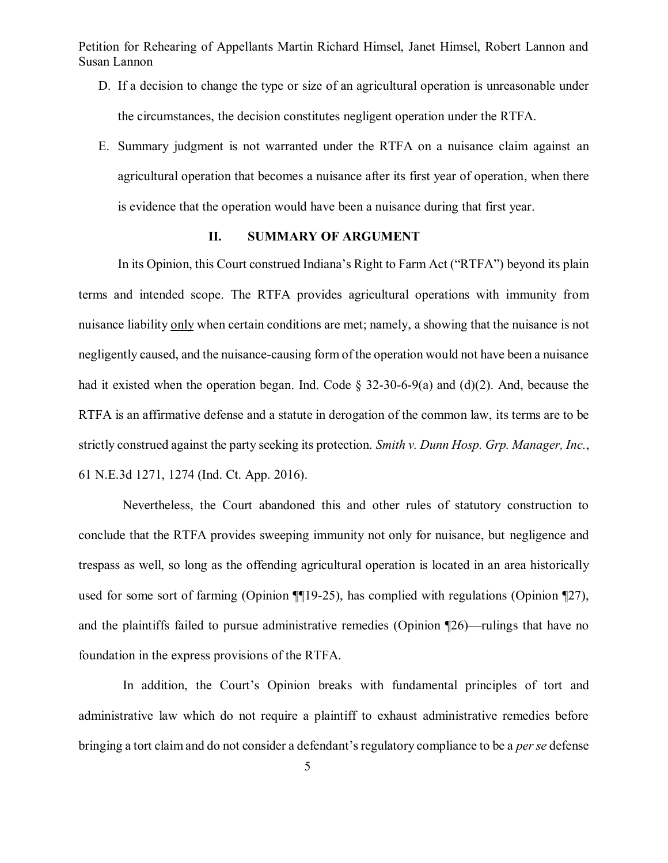- D. If a decision to change the type or size of an agricultural operation is unreasonable under the circumstances, the decision constitutes negligent operation under the RTFA.
- E. Summary judgment is not warranted under the RTFA on a nuisance claim against an agricultural operation that becomes a nuisance after its first year of operation, when there is evidence that the operation would have been a nuisance during that first year.

## **II. SUMMARY OF ARGUMENT**

In its Opinion, this Court construed Indiana's Right to Farm Act ("RTFA") beyond its plain terms and intended scope. The RTFA provides agricultural operations with immunity from nuisance liability only when certain conditions are met; namely, a showing that the nuisance is not negligently caused, and the nuisance-causing form of the operation would not have been a nuisance had it existed when the operation began. Ind. Code  $\S$  32-30-6-9(a) and (d)(2). And, because the RTFA is an affirmative defense and a statute in derogation of the common law, its terms are to be strictly construed against the party seeking its protection. *Smith v. Dunn Hosp. Grp. Manager, Inc.*, 61 N.E.3d 1271, 1274 (Ind. Ct. App. 2016).

Nevertheless, the Court abandoned this and other rules of statutory construction to conclude that the RTFA provides sweeping immunity not only for nuisance, but negligence and trespass as well, so long as the offending agricultural operation is located in an area historically used for some sort of farming (Opinion ¶¶19-25), has complied with regulations (Opinion ¶27), and the plaintiffs failed to pursue administrative remedies (Opinion ¶26)—rulings that have no foundation in the express provisions of the RTFA.

In addition, the Court's Opinion breaks with fundamental principles of tort and administrative law which do not require a plaintiff to exhaust administrative remedies before bringing a tort claim and do not consider a defendant's regulatory compliance to be a *per se* defense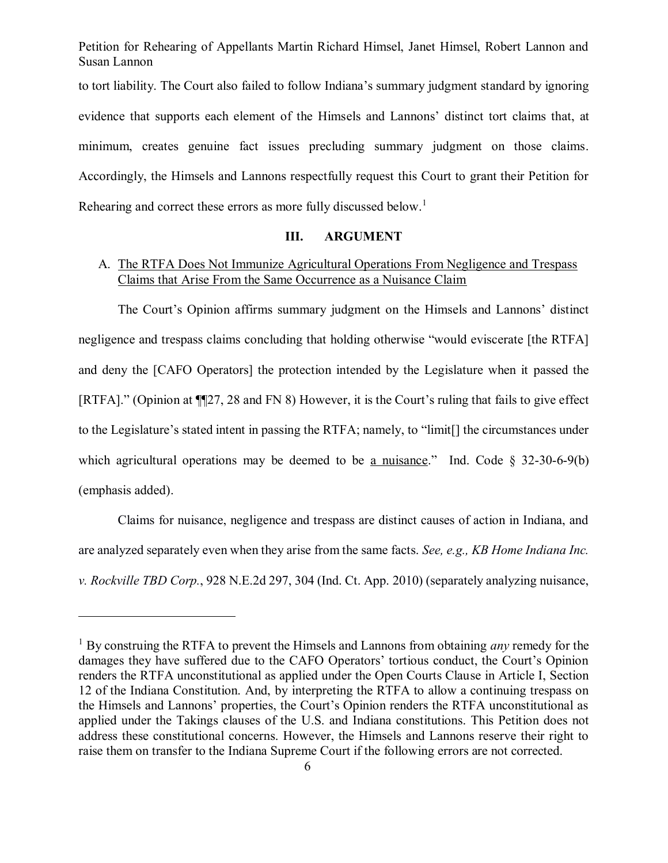Petition for Rehearing of Appellants Martin Richard Himsel, Janet Himsel, Robert Lannon and Susan Lannon to tort liability. The Court also failed to follow Indiana's summary judgment standard by ignoring evidence that supports each element of the Himsels and Lannons' distinct tort claims that, at minimum, creates genuine fact issues precluding summary judgment on those claims. Accordingly, the Himsels and Lannons respectfully request this Court to grant their Petition for

Rehearing and correct these errors as more fully discussed below.<sup>1</sup>

 $\overline{a}$ 

# **III. ARGUMENT**

# A. The RTFA Does Not Immunize Agricultural Operations From Negligence and Trespass Claims that Arise From the Same Occurrence as a Nuisance Claim

The Court's Opinion affirms summary judgment on the Himsels and Lannons' distinct negligence and trespass claims concluding that holding otherwise "would eviscerate [the RTFA] and deny the [CAFO Operators] the protection intended by the Legislature when it passed the [RTFA]." (Opinion at ¶¶27, 28 and FN 8) However, it is the Court's ruling that fails to give effect to the Legislature's stated intent in passing the RTFA; namely, to "limit[] the circumstances under which agricultural operations may be deemed to be a nuisance." Ind. Code  $\S$  32-30-6-9(b) (emphasis added).

Claims for nuisance, negligence and trespass are distinct causes of action in Indiana, and are analyzed separately even when they arise from the same facts. *See, e.g., KB Home Indiana Inc. v. Rockville TBD Corp.*, 928 N.E.2d 297, 304 (Ind. Ct. App. 2010) (separately analyzing nuisance,

<sup>1</sup> By construing the RTFA to prevent the Himsels and Lannons from obtaining *any* remedy for the damages they have suffered due to the CAFO Operators' tortious conduct, the Court's Opinion renders the RTFA unconstitutional as applied under the Open Courts Clause in Article I, Section 12 of the Indiana Constitution. And, by interpreting the RTFA to allow a continuing trespass on the Himsels and Lannons' properties, the Court's Opinion renders the RTFA unconstitutional as applied under the Takings clauses of the U.S. and Indiana constitutions. This Petition does not address these constitutional concerns. However, the Himsels and Lannons reserve their right to raise them on transfer to the Indiana Supreme Court if the following errors are not corrected.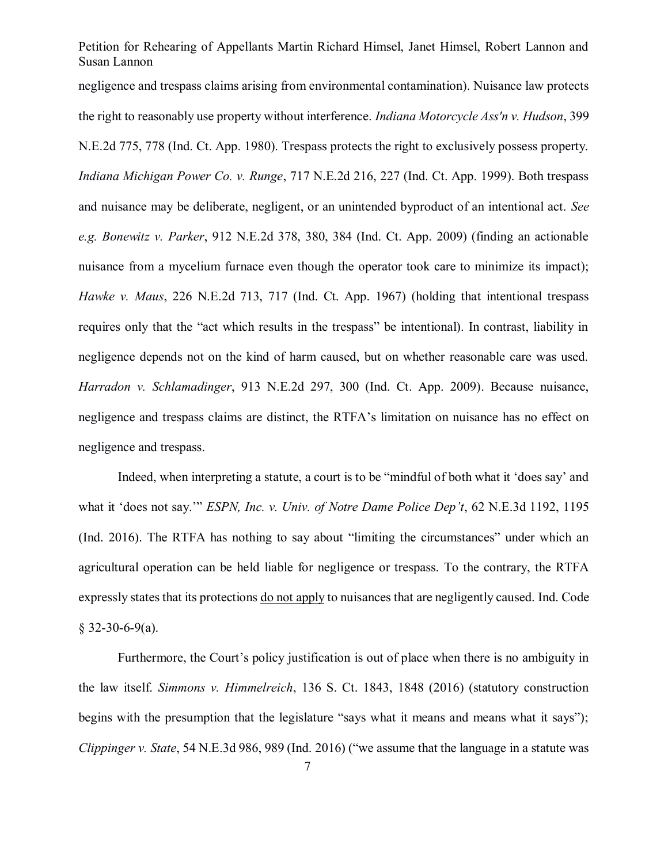negligence and trespass claims arising from environmental contamination). Nuisance law protects the right to reasonably use property without interference. *Indiana Motorcycle Ass'n v. Hudson*, 399 N.E.2d 775, 778 (Ind. Ct. App. 1980). Trespass protects the right to exclusively possess property. *Indiana Michigan Power Co. v. Runge*, 717 N.E.2d 216, 227 (Ind. Ct. App. 1999). Both trespass and nuisance may be deliberate, negligent, or an unintended byproduct of an intentional act. *See e.g. Bonewitz v. Parker*, 912 N.E.2d 378, 380, 384 (Ind. Ct. App. 2009) (finding an actionable nuisance from a mycelium furnace even though the operator took care to minimize its impact); *Hawke v. Maus*, 226 N.E.2d 713, 717 (Ind. Ct. App. 1967) (holding that intentional trespass requires only that the "act which results in the trespass" be intentional). In contrast, liability in negligence depends not on the kind of harm caused, but on whether reasonable care was used. *Harradon v. Schlamadinger*, 913 N.E.2d 297, 300 (Ind. Ct. App. 2009). Because nuisance, negligence and trespass claims are distinct, the RTFA's limitation on nuisance has no effect on negligence and trespass.

Indeed, when interpreting a statute, a court is to be "mindful of both what it 'does say' and what it 'does not say.'" *ESPN, Inc. v. Univ. of Notre Dame Police Dep't*, 62 N.E.3d 1192, 1195 (Ind. 2016). The RTFA has nothing to say about "limiting the circumstances" under which an agricultural operation can be held liable for negligence or trespass. To the contrary, the RTFA expressly states that its protections do not apply to nuisances that are negligently caused. Ind. Code  $$32-30-6-9(a).$ 

Furthermore, the Court's policy justification is out of place when there is no ambiguity in the law itself. *Simmons v. Himmelreich*, 136 S. Ct. 1843, 1848 (2016) (statutory construction begins with the presumption that the legislature "says what it means and means what it says"); *Clippinger v. State*, 54 N.E.3d 986, 989 (Ind. 2016) ("we assume that the language in a statute was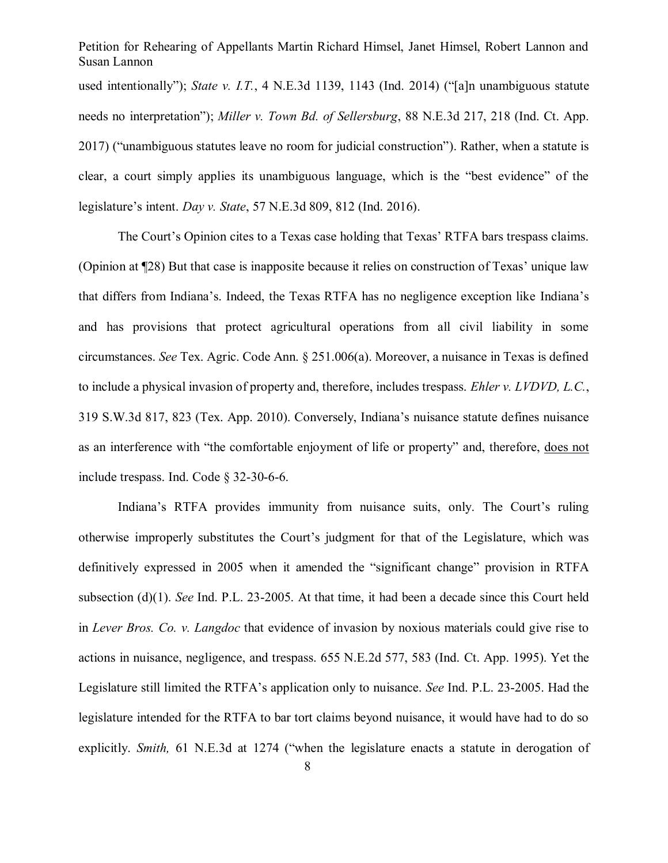Petition for Rehearing of Appellants Martin Richard Himsel, Janet Himsel, Robert Lannon and Susan Lannon used intentionally"); *State v. I.T.*, 4 N.E.3d 1139, 1143 (Ind. 2014) ("[a]n unambiguous statute needs no interpretation"); *Miller v. Town Bd. of Sellersburg*, 88 N.E.3d 217, 218 (Ind. Ct. App. 2017) ("unambiguous statutes leave no room for judicial construction"). Rather, when a statute is clear, a court simply applies its unambiguous language, which is the "best evidence" of the legislature's intent. *Day v. State*, 57 N.E.3d 809, 812 (Ind. 2016).

The Court's Opinion cites to a Texas case holding that Texas' RTFA bars trespass claims. (Opinion at ¶28) But that case is inapposite because it relies on construction of Texas' unique law that differs from Indiana's. Indeed, the Texas RTFA has no negligence exception like Indiana's and has provisions that protect agricultural operations from all civil liability in some circumstances. *See* Tex. Agric. Code Ann. § 251.006(a). Moreover, a nuisance in Texas is defined to include a physical invasion of property and, therefore, includes trespass. *Ehler v. LVDVD, L.C.*, 319 S.W.3d 817, 823 (Tex. App. 2010). Conversely, Indiana's nuisance statute defines nuisance as an interference with "the comfortable enjoyment of life or property" and, therefore, does not include trespass. Ind. Code § 32-30-6-6.

Indiana's RTFA provides immunity from nuisance suits, only. The Court's ruling otherwise improperly substitutes the Court's judgment for that of the Legislature, which was definitively expressed in 2005 when it amended the "significant change" provision in RTFA subsection (d)(1). *See* Ind. P.L. 23-2005. At that time, it had been a decade since this Court held in *Lever Bros. Co. v. Langdoc* that evidence of invasion by noxious materials could give rise to actions in nuisance, negligence, and trespass. 655 N.E.2d 577, 583 (Ind. Ct. App. 1995). Yet the Legislature still limited the RTFA's application only to nuisance. *See* Ind. P.L. 23-2005. Had the legislature intended for the RTFA to bar tort claims beyond nuisance, it would have had to do so explicitly. *Smith,* 61 N.E.3d at 1274 ("when the legislature enacts a statute in derogation of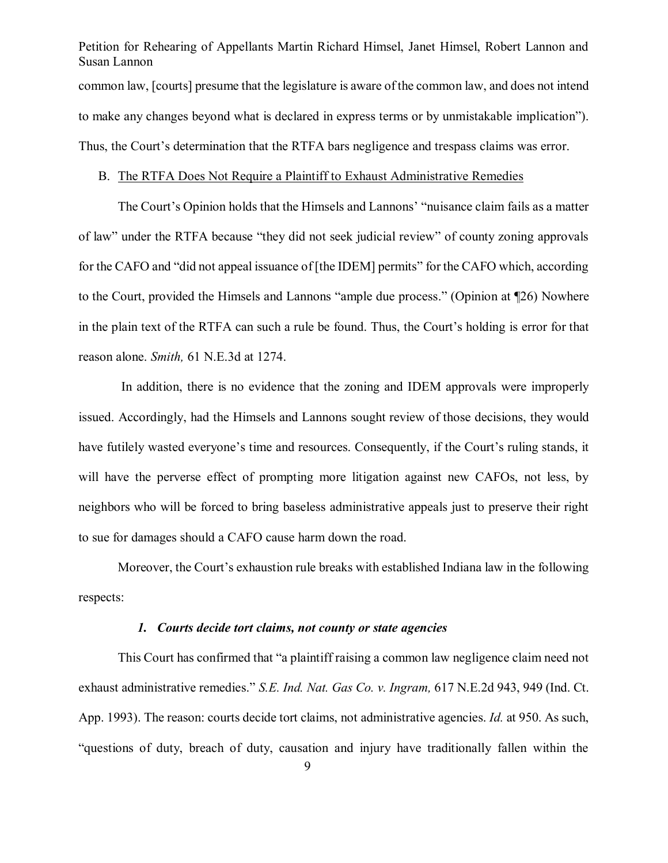Petition for Rehearing of Appellants Martin Richard Himsel, Janet Himsel, Robert Lannon and Susan Lannon common law, [courts] presume that the legislature is aware of the common law, and does not intend to make any changes beyond what is declared in express terms or by unmistakable implication"). Thus, the Court's determination that the RTFA bars negligence and trespass claims was error.

## B. The RTFA Does Not Require a Plaintiff to Exhaust Administrative Remedies

The Court's Opinion holds that the Himsels and Lannons' "nuisance claim fails as a matter of law" under the RTFA because "they did not seek judicial review" of county zoning approvals for the CAFO and "did not appeal issuance of [the IDEM] permits" for the CAFO which, according to the Court, provided the Himsels and Lannons "ample due process." (Opinion at ¶26) Nowhere in the plain text of the RTFA can such a rule be found. Thus, the Court's holding is error for that reason alone. *Smith,* 61 N.E.3d at 1274.

In addition, there is no evidence that the zoning and IDEM approvals were improperly issued. Accordingly, had the Himsels and Lannons sought review of those decisions, they would have futilely wasted everyone's time and resources. Consequently, if the Court's ruling stands, it will have the perverse effect of prompting more litigation against new CAFOs, not less, by neighbors who will be forced to bring baseless administrative appeals just to preserve their right to sue for damages should a CAFO cause harm down the road.

Moreover, the Court's exhaustion rule breaks with established Indiana law in the following respects:

#### *1. Courts decide tort claims, not county or state agencies*

This Court has confirmed that "a plaintiff raising a common law negligence claim need not exhaust administrative remedies." *S.E. Ind. Nat. Gas Co. v. Ingram,* 617 N.E.2d 943, 949 (Ind. Ct. App. 1993). The reason: courts decide tort claims, not administrative agencies. *Id.* at 950. As such, "questions of duty, breach of duty, causation and injury have traditionally fallen within the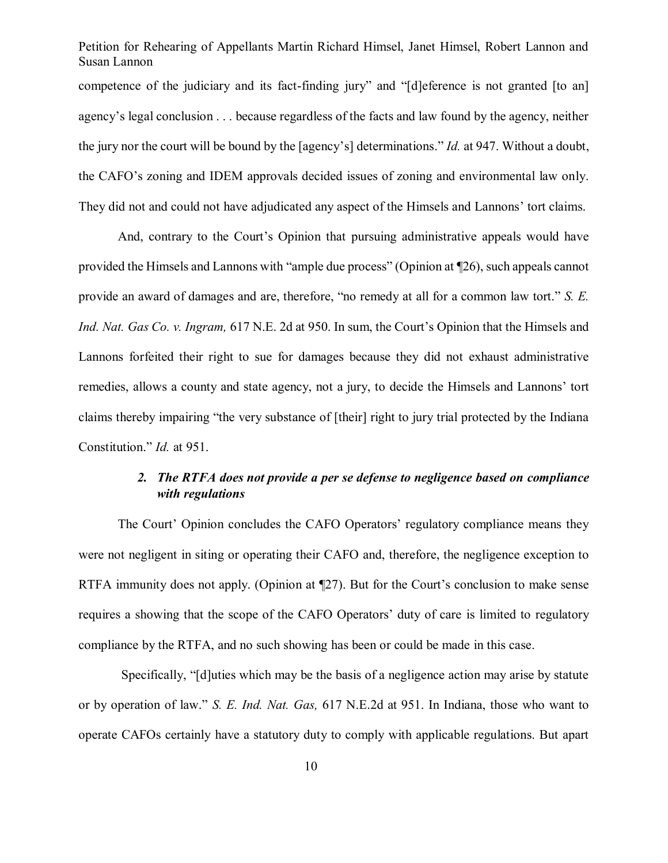Petition for Rehearing of Appellants Martin Richard Himsel, Janet Himsel, Robert Lannon and Susan Lannon competence of the judiciary and its fact-finding jury" and "[d]eference is not granted [to an] agency's legal conclusion . . . because regardless of the facts and law found by the agency, neither the jury nor the court will be bound by the [agency's] determinations." *Id.* at 947. Without a doubt, the CAFO's zoning and IDEM approvals decided issues of zoning and environmental law only. They did not and could not have adjudicated any aspect of the Himsels and Lannons' tort claims.

And, contrary to the Court's Opinion that pursuing administrative appeals would have provided the Himsels and Lannons with "ample due process" (Opinion at ¶26), such appeals cannot provide an award of damages and are, therefore, "no remedy at all for a common law tort." *S. E. Ind. Nat. Gas Co. v. Ingram,* 617 N.E. 2d at 950. In sum, the Court's Opinion that the Himsels and Lannons forfeited their right to sue for damages because they did not exhaust administrative remedies, allows a county and state agency, not a jury, to decide the Himsels and Lannons' tort claims thereby impairing "the very substance of [their] right to jury trial protected by the Indiana Constitution." *Id.* at 951.

# *2. The RTFA does not provide a per se defense to negligence based on compliance with regulations*

The Court' Opinion concludes the CAFO Operators' regulatory compliance means they were not negligent in siting or operating their CAFO and, therefore, the negligence exception to RTFA immunity does not apply. (Opinion at ¶27). But for the Court's conclusion to make sense requires a showing that the scope of the CAFO Operators' duty of care is limited to regulatory compliance by the RTFA, and no such showing has been or could be made in this case.

Specifically, "[d]uties which may be the basis of a negligence action may arise by statute or by operation of law." *S. E. Ind. Nat. Gas,* 617 N.E.2d at 951. In Indiana, those who want to operate CAFOs certainly have a statutory duty to comply with applicable regulations. But apart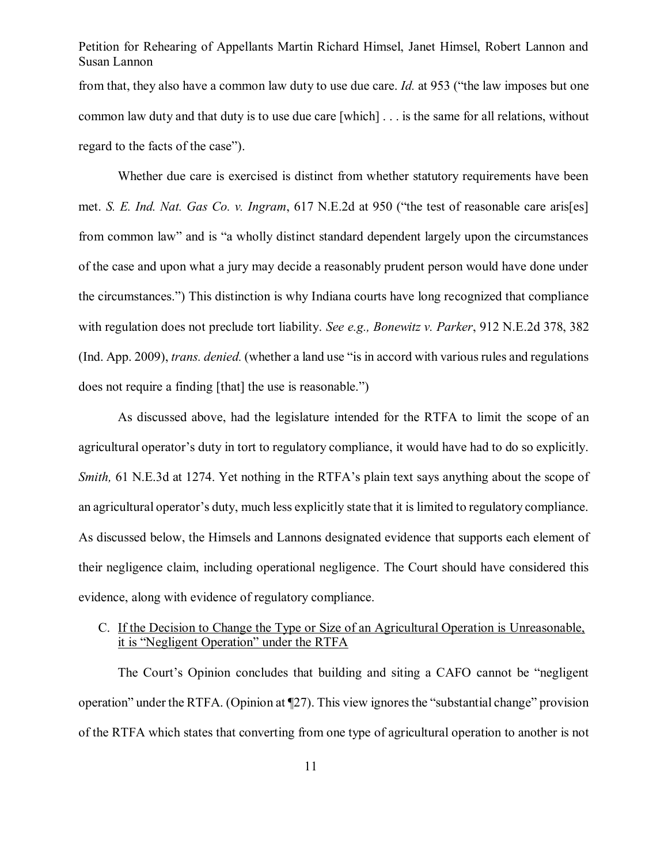Petition for Rehearing of Appellants Martin Richard Himsel, Janet Himsel, Robert Lannon and Susan Lannon from that, they also have a common law duty to use due care. *Id.* at 953 ("the law imposes but one common law duty and that duty is to use due care [which] . . . is the same for all relations, without regard to the facts of the case").

Whether due care is exercised is distinct from whether statutory requirements have been met. *S. E. Ind. Nat. Gas Co. v. Ingram*, 617 N.E.2d at 950 ("the test of reasonable care aris[es] from common law" and is "a wholly distinct standard dependent largely upon the circumstances of the case and upon what a jury may decide a reasonably prudent person would have done under the circumstances.") This distinction is why Indiana courts have long recognized that compliance with regulation does not preclude tort liability. *See e.g., Bonewitz v. Parker*, 912 N.E.2d 378, 382 (Ind. App. 2009), *trans. denied.* (whether a land use "is in accord with various rules and regulations does not require a finding [that] the use is reasonable.")

As discussed above, had the legislature intended for the RTFA to limit the scope of an agricultural operator's duty in tort to regulatory compliance, it would have had to do so explicitly. *Smith*, 61 N.E.3d at 1274. Yet nothing in the RTFA's plain text says anything about the scope of an agricultural operator's duty, much less explicitly state that it is limited to regulatory compliance. As discussed below, the Himsels and Lannons designated evidence that supports each element of their negligence claim, including operational negligence. The Court should have considered this evidence, along with evidence of regulatory compliance.

# C. If the Decision to Change the Type or Size of an Agricultural Operation is Unreasonable, it is "Negligent Operation" under the RTFA

The Court's Opinion concludes that building and siting a CAFO cannot be "negligent operation" under the RTFA. (Opinion at ¶27). This view ignores the "substantial change" provision of the RTFA which states that converting from one type of agricultural operation to another is not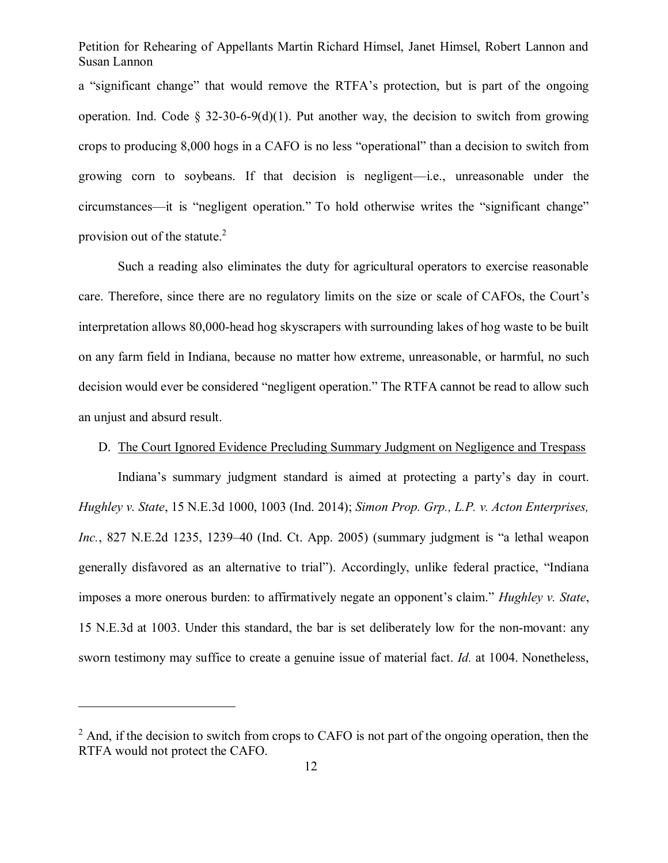a "significant change" that would remove the RTFA's protection, but is part of the ongoing operation. Ind. Code § 32-30-6-9(d)(1). Put another way, the decision to switch from growing crops to producing 8,000 hogs in a CAFO is no less "operational" than a decision to switch from growing corn to soybeans. If that decision is negligent—i.e., unreasonable under the circumstances—it is "negligent operation." To hold otherwise writes the "significant change" provision out of the statute.<sup>2</sup>

Such a reading also eliminates the duty for agricultural operators to exercise reasonable care. Therefore, since there are no regulatory limits on the size or scale of CAFOs, the Court's interpretation allows 80,000-head hog skyscrapers with surrounding lakes of hog waste to be built on any farm field in Indiana, because no matter how extreme, unreasonable, or harmful, no such decision would ever be considered "negligent operation." The RTFA cannot be read to allow such an unjust and absurd result.

## D. The Court Ignored Evidence Precluding Summary Judgment on Negligence and Trespass

Indiana's summary judgment standard is aimed at protecting a party's day in court. *Hughley v. State*, 15 N.E.3d 1000, 1003 (Ind. 2014); *Simon Prop. Grp., L.P. v. Acton Enterprises, Inc.*, 827 N.E.2d 1235, 1239–40 (Ind. Ct. App. 2005) (summary judgment is "a lethal weapon generally disfavored as an alternative to trial"). Accordingly, unlike federal practice, "Indiana imposes a more onerous burden: to affirmatively negate an opponent's claim." *Hughley v. State*, 15 N.E.3d at 1003. Under this standard, the bar is set deliberately low for the non-movant: any sworn testimony may suffice to create a genuine issue of material fact. *Id.* at 1004. Nonetheless,

 $\overline{a}$ 

 $2$  And, if the decision to switch from crops to CAFO is not part of the ongoing operation, then the RTFA would not protect the CAFO.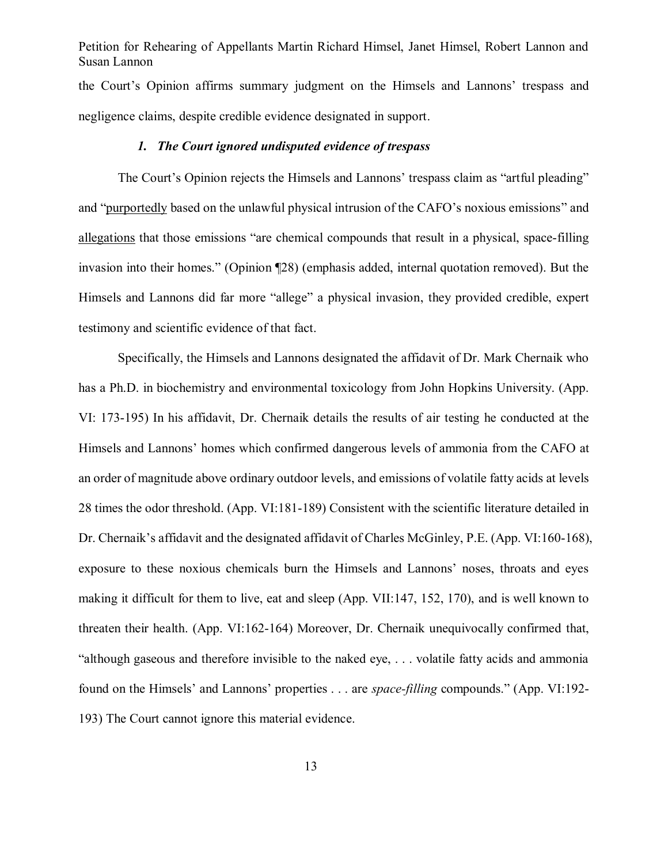Petition for Rehearing of Appellants Martin Richard Himsel, Janet Himsel, Robert Lannon and Susan Lannon the Court's Opinion affirms summary judgment on the Himsels and Lannons' trespass and negligence claims, despite credible evidence designated in support.

### *1. The Court ignored undisputed evidence of trespass*

The Court's Opinion rejects the Himsels and Lannons' trespass claim as "artful pleading" and "purportedly based on the unlawful physical intrusion of the CAFO's noxious emissions" and allegations that those emissions "are chemical compounds that result in a physical, space-filling invasion into their homes." (Opinion ¶28) (emphasis added, internal quotation removed). But the Himsels and Lannons did far more "allege" a physical invasion, they provided credible, expert testimony and scientific evidence of that fact.

Specifically, the Himsels and Lannons designated the affidavit of Dr. Mark Chernaik who has a Ph.D. in biochemistry and environmental toxicology from John Hopkins University. (App. VI: 173-195) In his affidavit, Dr. Chernaik details the results of air testing he conducted at the Himsels and Lannons' homes which confirmed dangerous levels of ammonia from the CAFO at an order of magnitude above ordinary outdoor levels, and emissions of volatile fatty acids at levels 28 times the odor threshold. (App. VI:181-189) Consistent with the scientific literature detailed in Dr. Chernaik's affidavit and the designated affidavit of Charles McGinley, P.E. (App. VI:160-168), exposure to these noxious chemicals burn the Himsels and Lannons' noses, throats and eyes making it difficult for them to live, eat and sleep (App. VII:147, 152, 170), and is well known to threaten their health. (App. VI:162-164) Moreover, Dr. Chernaik unequivocally confirmed that, "although gaseous and therefore invisible to the naked eye, . . . volatile fatty acids and ammonia found on the Himsels' and Lannons' properties . . . are *space-filling* compounds." (App. VI:192- 193) The Court cannot ignore this material evidence.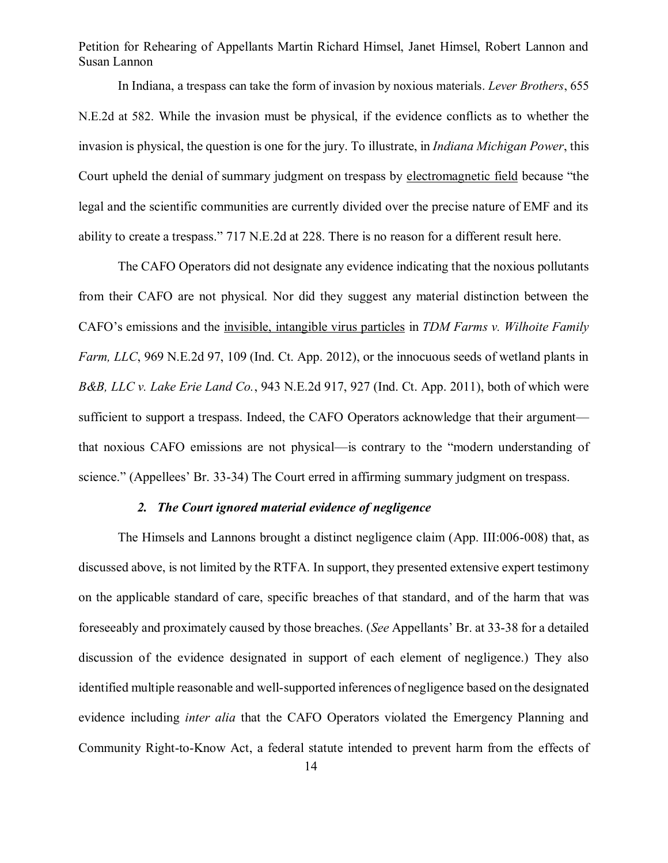In Indiana, a trespass can take the form of invasion by noxious materials. *Lever Brothers*, 655 N.E.2d at 582. While the invasion must be physical, if the evidence conflicts as to whether the invasion is physical, the question is one for the jury. To illustrate, in *Indiana Michigan Power*, this Court upheld the denial of summary judgment on trespass by electromagnetic field because "the legal and the scientific communities are currently divided over the precise nature of EMF and its ability to create a trespass." 717 N.E.2d at 228. There is no reason for a different result here.

The CAFO Operators did not designate any evidence indicating that the noxious pollutants from their CAFO are not physical. Nor did they suggest any material distinction between the CAFO's emissions and the invisible, intangible virus particles in *TDM Farms v. Wilhoite Family Farm, LLC*, 969 N.E.2d 97, 109 (Ind. Ct. App. 2012), or the innocuous seeds of wetland plants in *B&B, LLC v. Lake Erie Land Co.*, 943 N.E.2d 917, 927 (Ind. Ct. App. 2011), both of which were sufficient to support a trespass. Indeed, the CAFO Operators acknowledge that their argument that noxious CAFO emissions are not physical—is contrary to the "modern understanding of science." (Appellees' Br. 33-34) The Court erred in affirming summary judgment on trespass.

## *2. The Court ignored material evidence of negligence*

The Himsels and Lannons brought a distinct negligence claim (App. III:006-008) that, as discussed above, is not limited by the RTFA. In support, they presented extensive expert testimony on the applicable standard of care, specific breaches of that standard, and of the harm that was foreseeably and proximately caused by those breaches. (*See* Appellants' Br. at 33-38 for a detailed discussion of the evidence designated in support of each element of negligence.) They also identified multiple reasonable and well-supported inferences of negligence based on the designated evidence including *inter alia* that the CAFO Operators violated the Emergency Planning and Community Right-to-Know Act, a federal statute intended to prevent harm from the effects of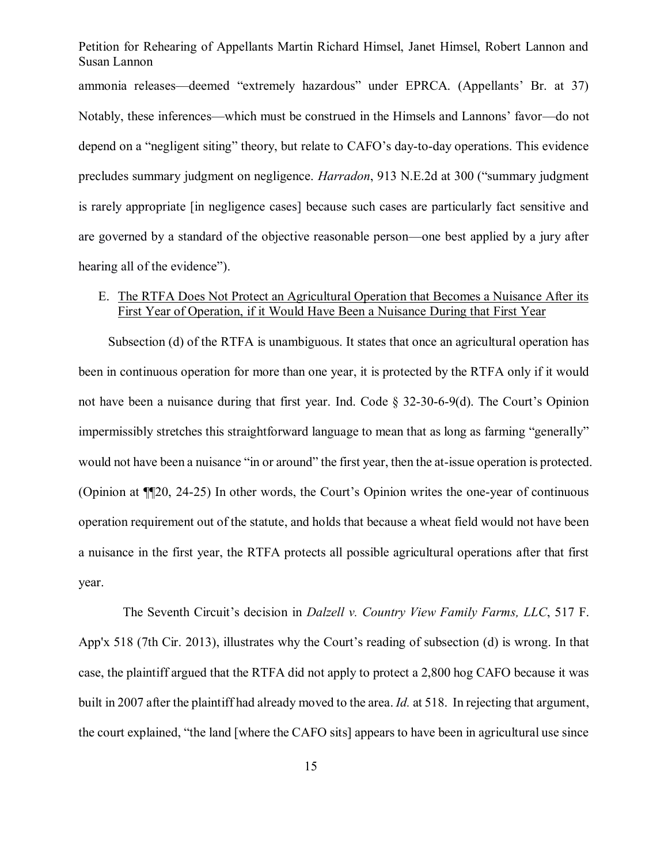Petition for Rehearing of Appellants Martin Richard Himsel, Janet Himsel, Robert Lannon and Susan Lannon ammonia releases—deemed "extremely hazardous" under EPRCA. (Appellants' Br. at 37) Notably, these inferences—which must be construed in the Himsels and Lannons' favor—do not depend on a "negligent siting" theory, but relate to CAFO's day-to-day operations. This evidence precludes summary judgment on negligence. *Harradon*, 913 N.E.2d at 300 ("summary judgment is rarely appropriate [in negligence cases] because such cases are particularly fact sensitive and are governed by a standard of the objective reasonable person—one best applied by a jury after hearing all of the evidence".

# E. The RTFA Does Not Protect an Agricultural Operation that Becomes a Nuisance After its First Year of Operation, if it Would Have Been a Nuisance During that First Year

Subsection (d) of the RTFA is unambiguous. It states that once an agricultural operation has been in continuous operation for more than one year, it is protected by the RTFA only if it would not have been a nuisance during that first year. Ind. Code § 32-30-6-9(d). The Court's Opinion impermissibly stretches this straightforward language to mean that as long as farming "generally" would not have been a nuisance "in or around" the first year, then the at-issue operation is protected. (Opinion at ¶¶20, 24-25) In other words, the Court's Opinion writes the one-year of continuous operation requirement out of the statute, and holds that because a wheat field would not have been a nuisance in the first year, the RTFA protects all possible agricultural operations after that first year.

The Seventh Circuit's decision in *Dalzell v. Country View Family Farms, LLC*, 517 F. App'x 518 (7th Cir. 2013), illustrates why the Court's reading of subsection (d) is wrong. In that case, the plaintiff argued that the RTFA did not apply to protect a 2,800 hog CAFO because it was built in 2007 after the plaintiff had already moved to the area. *Id.* at 518. In rejecting that argument, the court explained, "the land [where the CAFO sits] appears to have been in agricultural use since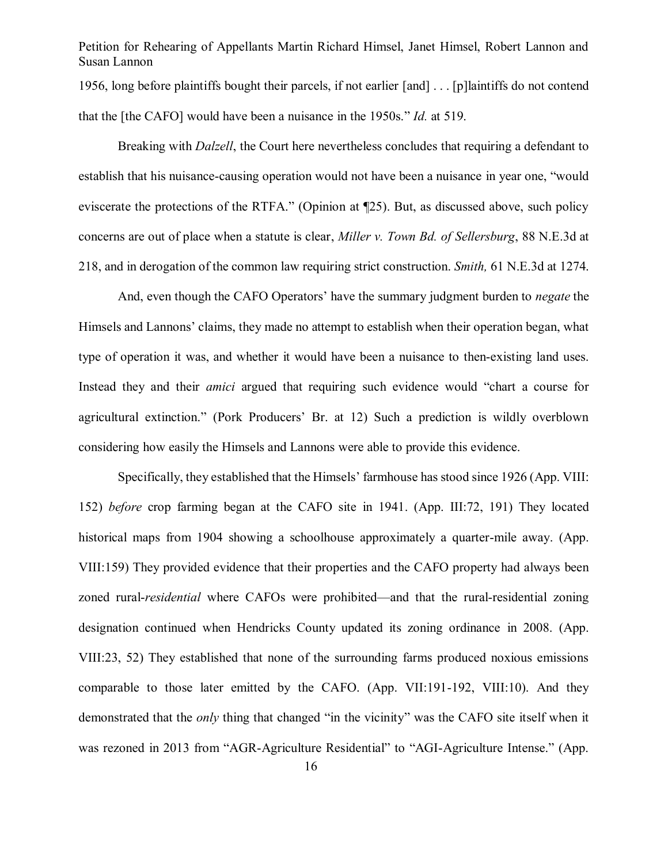Petition for Rehearing of Appellants Martin Richard Himsel, Janet Himsel, Robert Lannon and Susan Lannon 1956, long before plaintiffs bought their parcels, if not earlier [and] . . . [p]laintiffs do not contend that the [the CAFO] would have been a nuisance in the 1950s." *Id.* at 519.

Breaking with *Dalzell*, the Court here nevertheless concludes that requiring a defendant to establish that his nuisance-causing operation would not have been a nuisance in year one, "would eviscerate the protections of the RTFA." (Opinion at ¶25). But, as discussed above, such policy concerns are out of place when a statute is clear, *Miller v. Town Bd. of Sellersburg*, 88 N.E.3d at 218, and in derogation of the common law requiring strict construction. *Smith,* 61 N.E.3d at 1274.

And, even though the CAFO Operators' have the summary judgment burden to *negate* the Himsels and Lannons' claims, they made no attempt to establish when their operation began, what type of operation it was, and whether it would have been a nuisance to then-existing land uses. Instead they and their *amici* argued that requiring such evidence would "chart a course for agricultural extinction." (Pork Producers' Br. at 12) Such a prediction is wildly overblown considering how easily the Himsels and Lannons were able to provide this evidence.

Specifically, they established that the Himsels' farmhouse has stood since 1926 (App. VIII: 152) *before* crop farming began at the CAFO site in 1941. (App. III:72, 191) They located historical maps from 1904 showing a schoolhouse approximately a quarter-mile away. (App. VIII:159) They provided evidence that their properties and the CAFO property had always been zoned rural-*residential* where CAFOs were prohibited—and that the rural-residential zoning designation continued when Hendricks County updated its zoning ordinance in 2008. (App. VIII:23, 52) They established that none of the surrounding farms produced noxious emissions comparable to those later emitted by the CAFO. (App. VII:191-192, VIII:10). And they demonstrated that the *only* thing that changed "in the vicinity" was the CAFO site itself when it was rezoned in 2013 from "AGR-Agriculture Residential" to "AGI-Agriculture Intense." (App.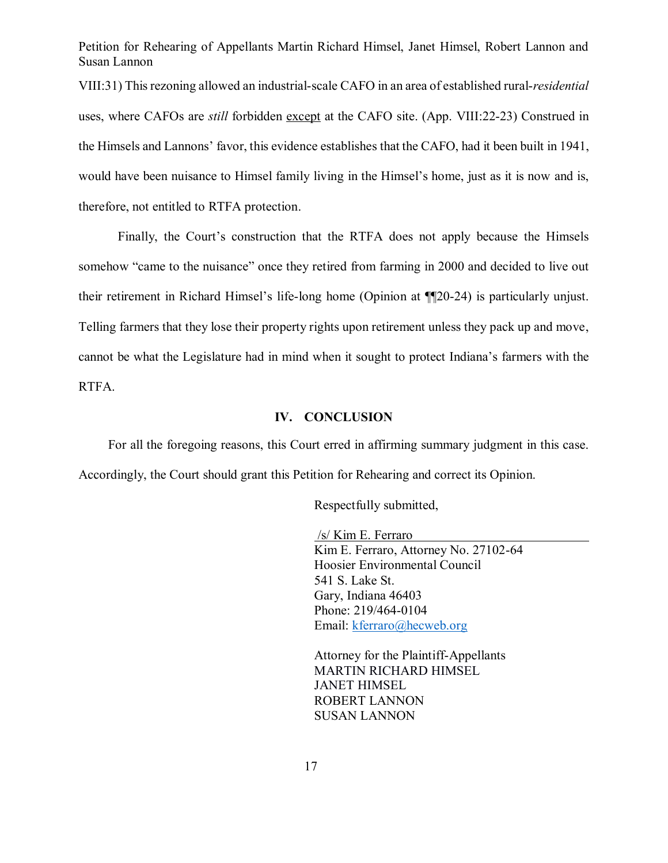VIII:31) This rezoning allowed an industrial-scale CAFO in an area of established rural-*residential* uses, where CAFOs are *still* forbidden except at the CAFO site. (App. VIII:22-23) Construed in the Himsels and Lannons' favor, this evidence establishes that the CAFO, had it been built in 1941, would have been nuisance to Himsel family living in the Himsel's home, just as it is now and is, therefore, not entitled to RTFA protection.

Finally, the Court's construction that the RTFA does not apply because the Himsels somehow "came to the nuisance" once they retired from farming in 2000 and decided to live out their retirement in Richard Himsel's life-long home (Opinion at ¶¶20-24) is particularly unjust. Telling farmers that they lose their property rights upon retirement unless they pack up and move, cannot be what the Legislature had in mind when it sought to protect Indiana's farmers with the RTFA.

#### **IV. CONCLUSION**

For all the foregoing reasons, this Court erred in affirming summary judgment in this case. Accordingly, the Court should grant this Petition for Rehearing and correct its Opinion.

Respectfully submitted,

/s/ Kim E. Ferraro Kim E. Ferraro, Attorney No. 27102-64 Hoosier Environmental Council 541 S. Lake St. Gary, Indiana 46403 Phone: 219/464-0104 Email: kferraro@hecweb.org

Attorney for the Plaintiff-Appellants MARTIN RICHARD HIMSEL JANET HIMSEL ROBERT LANNON SUSAN LANNON